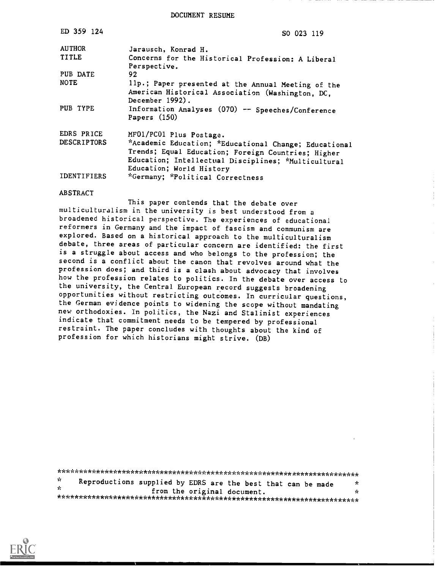DOCUMENT RESUME

| ED 359 124         | SO 023 119                                                                                                                                                                                     |
|--------------------|------------------------------------------------------------------------------------------------------------------------------------------------------------------------------------------------|
| <b>AUTHOR</b>      | Jarausch, Konrad H.                                                                                                                                                                            |
| <b>TITLE</b>       | Concerns for the Historical Profession: A Liberal<br>Perspective.                                                                                                                              |
| PUB DATE           | 92                                                                                                                                                                                             |
| <b>NOTE</b>        | 11p.; Paper presented at the Annual Meeting of the<br>American Historical Association (Washington, DC,<br>December 1992).                                                                      |
| PUB TYPE           | Information Analyses (070) -- Speeches/Conference<br>Papers $(150)$                                                                                                                            |
| EDRS PRICE         | MF01/PC01 Plus Postage.                                                                                                                                                                        |
| <b>DESCRIPTORS</b> | *Academic Education; *Educational Change; Educational<br>Trends; Equal Education; Foreign Countries; Higher<br>Education; Intellectual Disciplines; *Multicultural<br>Education; World History |
| <b>IDENTIFIERS</b> | *Germany; *Political Correctness                                                                                                                                                               |

This paper contends that the debate over multiculturalism in the university is best understood from a broadened historical perspective. The experiences of educational reformers in Germany and the impact of fascism and communism are explored. Based on a historical approach to the multiculturalism debate, three areas of particular concern are identified: the first is a struggle about access and who belongs to the profession; the second is a conflict about the canon that revolves around what the profession does; and third is a clash about advocacy that involves how the profession relates to politics. In the debate over access to the university, the Central European record suggests broadening opportunities without restricting outcomes. In curricular questions, the German evidence points to widening the scope without mandating new orthodoxies. In politics, the Nazi and Stalinist experiences indicate that commitment needs to be tempered by professional restraint. The paper concludes with thoughts about the kind of profession for which historians might strive. (DB)

| -Sc | Reproductions supplied by EDRS are the best that can be made |  |                             |  | ÷.   |
|-----|--------------------------------------------------------------|--|-----------------------------|--|------|
| de. |                                                              |  | from the original document. |  | de l |
|     |                                                              |  |                             |  |      |



**ABSTRACT**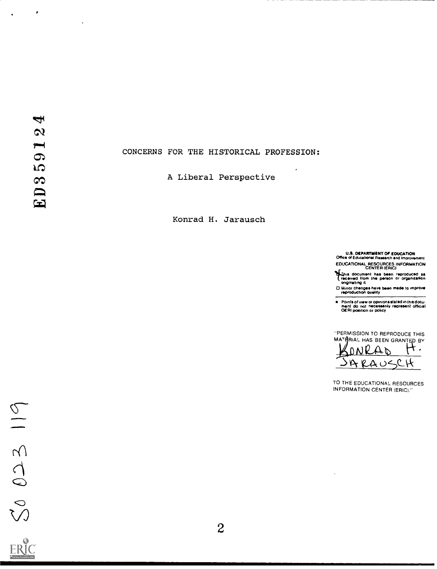$\pmb{\epsilon}$ 

 $\mathbf{r}$ 

## CONCERNS FOR THE HISTORICAL PROFESSION:

A Liberal Perspective

Konrad H. Jarausch

**U.S. DEPARTMENT OF EDUCATION**<br>Office of Educational Research and Improvement EDUCATIONAL RESOURCES INFORMATION

This document has been reproduced as<br>Tradived from the person or organization<br>originating it

D Minor changes have been made to improve

Points of view or opinionalistated in this document do not necessarily represent official<br>OERI position or policy

"PERMISSION TO REPRODUCE THIS MATERIAL HAS BEEN GRANTED BY

0  $\Delta$   $\triangleright$ **t** . ےں  $\mathcal{L}$  H  $\Delta_{\rm c}$ 

TO THE EDUCATIONAL RESOURCES **INFORMATION CENTER (ERIC)."**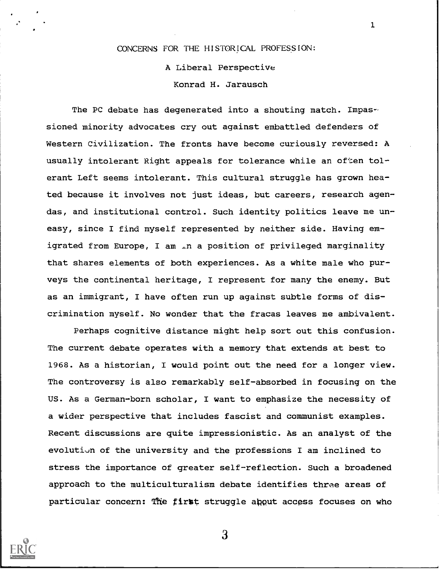# CONCERNS FOR THE HISTORICAL PROFESSION:

1

A Liberal Perspective Konrad H. Jarausch

The PC debate has degenerated into a shouting match. Impassioned minority advocates cry out against embattled defenders of Western Civilization. The fronts have become curiously reversed: A usually intolerant Right appeals for tolerance while an often tolerant Left seems intolerant. This cultural struggle has grown heated because it involves not just ideas, but careers, research agendas, and institutional control. Such identity politics leave me uneasy, since I find myself represented by neither side. Having emigrated from Europe, I am in a position of privileged marginality that shares elements of both experiences. As a white male who purveys the continental heritage, I represent for many the enemy. But as an immigrant, I have often run up against subtle forms of discrimination myself. No wonder that the fracas leaves me ambivalent.

Perhaps cognitive distance might help sort out this confusion. The current debate operates with a memory that extends at best to 1968. As a historian, I would point out the need for a longer view. The controversy is also remarkably self-absorbed in focusing on the US. As a German-born scholar, I want to emphasize the necessity of a wider perspective that includes fascist and communist examples. Recent discussions are quite impressionistic. As an analyst of the evolution of the university and the professions I am inclined to stress the importance of greater self-reflection. Such a broadened approach to the multiculturalism debate identifies three areas of particular concern: The first struggle apput access focuses on who

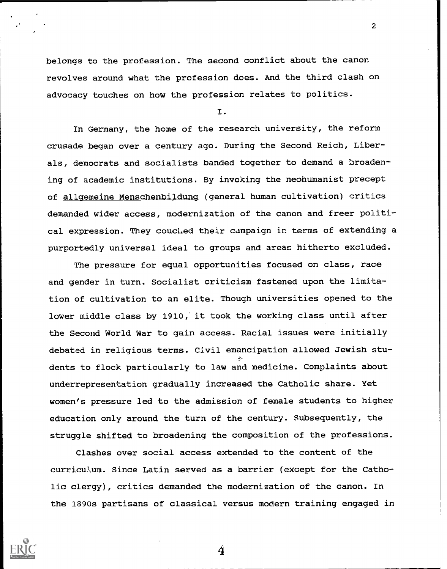belongs to the profession. The second conflict about the canon revolves around what the profession does. And the third clash on advocacy touches on how the profession relates to politics.

I.

2

In Germany, the home of the research university, the reform crusade began over a century ago. During the Second Reich, Liberals, democrats and socialists banded together to demand a broadening of academic institutions. By invoking the neohumanist precept of allgemeine Menschenbildunq (general human cultivation) critics demanded wider access, modernization of the canon and freer political expression. They coucled their campaign in terms of extending a purportedly universal ideal to groups and areas hitherto excluded.

The pressure for equal opportunities focused on class, race and gender in turn. Socialist criticism fastened upon the limitation of cultivation to an elite. Though universities opened to the lower middle class by 1910, it took the working class until after the Second World War to gain access. Racial issues were initially debated in religious terms. Civil emancipation allowed Jewish students to flock particularly to law and medicine. Complaints about underrepresentation gradually increased the Catholic share. Yet women's pressure led to the admission of female students to higher education only around the turn of the century. Subsequently, the struggle shifted to broadening the composition of the professions.

Clashes over social access extended to the content of the curriculum. Since Latin served as a barrier (except for the Catholic clergy), critics demanded the modernization of the canon. In the 1890s partisans of classical versus modern training engaged in

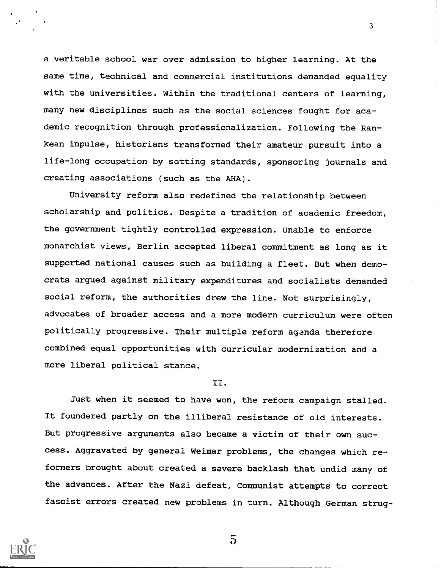a veritable school war over admission to higher learning. At the same time, technical and commercial institutions demanded equality with the universities. Within the traditional centers of learning, many new disciplines such as the social sciences fought for academic recognition through professionalization. Following the Rankean impulse, historians transformed their amateur pursuit into a life-long occupation by setting standards, sponsoring journals and creating associations (such as the AHA).

3

University reform also redefined the relationship between scholarship and politics. Despite a tradition of academic freedom, the government tightly controlled expression. Unable to enforce monarchist views, Berlin accepted liberal commitment as long as it supported national causes such as building a fleet. But when democrats argued against military expenditures and socialists demanded social reform, the authorities drew the line. Not surprisingly, advocates of broader access and a more modern curriculum were often politically progressive. Their multiple reform agenda therefore combined equal opportunities with curricular modernization and a more liberal political stance.

#### II.

Just when it seemed to have won, the reform campaign stalled. It foundered partly on the illiberal resistance of old interests. But progressive arguments also became a victim of their own success. Aggravated by general Weimar problems, the changes which reformers brought about created a severe backlash that undid many of the advances. After the Nazi defeat, Communist attempts to correct fascist errors created new problems in turn. Although German strug-

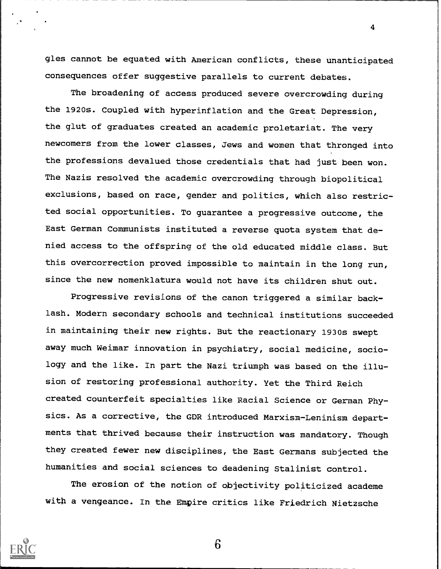gles cannot be equated with American conflicts, these unanticipated consequences offer suggestive parallels to current debates.

4

The broadening of access produced severe overcrowding during the 1920s. Coupled with hyperinflation and the Great Depression, the glut of graduates created an academic proletariat. The very newcomers from the lower classes, Jews and women that thronged into the professions devalued those credentials that had just been won. The Nazis resolved the academic overcrowding through biopolitical exclusions, based on race, gender and politics, which also restricted social opportunities. To guarantee a progressive outcome, the East German Communists instituted a reverse quota system that denied access to the offspring of the old educated middle class. But this overcorrection proved impossible to maintain in the long run, since the new nomenklatura would not have its children shut out.

Progressive revisions of the canon triggered a similar backlash. Modern secondary schools and technical institutions succeeded in maintaining their new rights. But the reactionary 1930s swept away much Weimar innovation in psychiatry, social medicine, sociology and the like. In part the Nazi triumph was based on the illusion of restoring professional authority. Yet the Third Reich created counterfeit specialties like Racial Science or German Physics. As a corrective, the GDR introduced Marxism-Leninism departments that thrived because their instruction was mandatory. Though they created fewer new disciplines, the East Germans subjected the humanities and social sciences to deadening Stalinist control.

The erosion of the notion of objectivity politicized academe with a vengeance. In the Empire critics like Friedrich Nietzsche

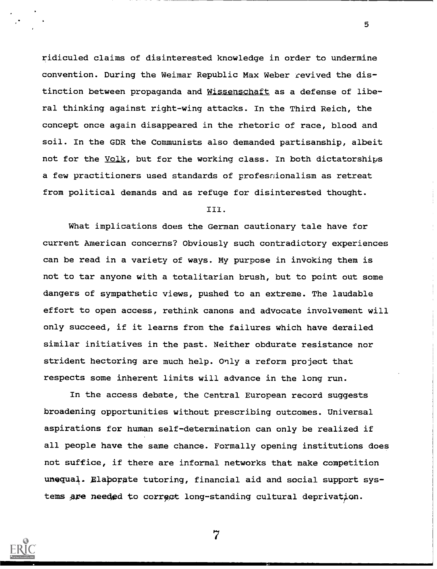ridiculed claims of disinterested knowledge in order to undermine convention. During the Weimar Republic Max Weber revived the distinction between propaganda and Wissenschaft as a defense of liberal thinking against right-wing attacks. In the Third Reich, the concept once again disappeared in the rhetoric of race, blood and soil. In the GDR the Communists also demanded partisanship, albeit not for the Volk, but for the working class. In both dictatorships a few practitioners used standards of professionalism as retreat from political demands and as refuge for disinterested thought.

5

#### III.

What implications does the German cautionary tale have for current American concerns? Obviously such contradictory experiences can be read in a variety of ways. My purpose in invoking them is not to tar anyone with a totalitarian brush, but to point out some dangers of sympathetic views, pushed to an extreme. The laudable effort to open access, rethink canons and advocate involvement will only succeed, if it learns from the failures which have derailed similar initiatives in the past. Neither obdurate resistance nor strident hectoring are much help. Only a reform project that respects some inherent limits will advance in the long run.

In the access debate, the Central European record suggests broadening opportunities without prescribing outcomes. Universal aspirations for human self-determination can only be realized if all people have the same chance. Formally opening institutions does not suffice, if there are informal networks that make competition unequal. Elaborate tutoring, financial aid and social support systems are needed to correct long-standing cultural deprivation.

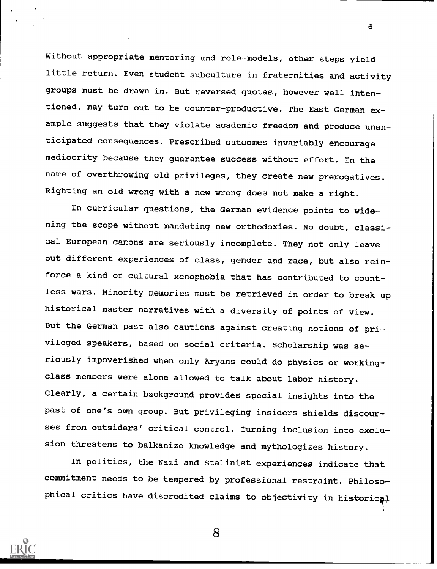Without appropriate mentoring and role-models, other steps yield little return. Even student subculture in fraternities and activity groups must be drawn in. But reversed quotas, however well intentioned, may turn out to be counter-productive. The East German example suggests that they violate academic freedom and produce unanticipated consequences. Prescribed outcomes invariably encourage mediocrity because they guarantee success without effort. In the name of overthrowing old privileges, they create new prerogatives. Righting an old wrong with a new wrong does not make a right.

In curricular questions, the German evidence points to widening the scope without mandating new orthodoxies. No doubt, classical European canons are seriously incomplete. They not only leave out different experiences of class, gender and race, but also reinforce a kind of cultural xenophobia that has contributed to countless wars. Minority memories must be retrieved in order to break up historical master narratives with a diversity of points of view. But the German past also cautions against creating notions of privileged speakers, based on social criteria. Scholarship was seriously impoverished when only Aryans could do physics or workingclass members were alone allowed to talk about labor history. Clearly, a certain background provides special insights into the past of one's own group. But privileging insiders shields discourses from outsiders' critical control. Turning inclusion into exclusion threatens to balkanize knowledge and mythologizes history.

In politics, the Nazi and Stalinist experiences indicate that commitment needs to be tempered by professional restraint. Philosophical critics have discredited claims to objectivity in historical



8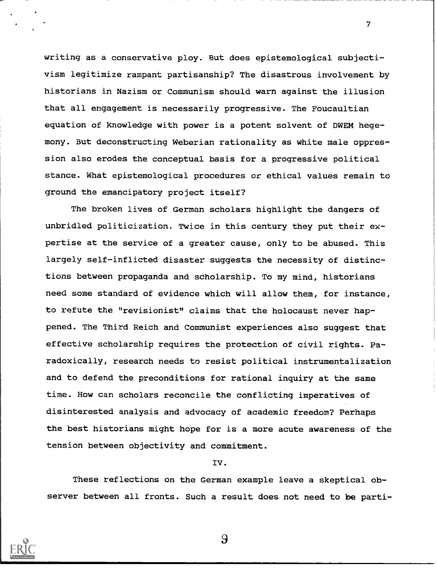writing as a conservative ploy. But does epistemological subjectivism legitimize rampant partisanship? The disastrous involvement by historians in Nazism or Communism should warn against the illusion that all engagement is necessarily progressive. The Foucaultian equation of knowledge with power is a potent solvent of DWEM hegemony. But deconstructing Weberian rationality as white male oppression also erodes the conceptual basis for a progressive political stance. What epistemological procedures or ethical values remain to ground the emancipatory project itself?

7

The broken lives of German scholars highlight the dangers of unbridled politicization. Twice in this century they put their expertise at the service of a greater cause, only to be abused. This largely self-inflicted disaster suggests the necessity of distinctions between propaganda and scholarship. To my mind, historians need some standard of evidence which will allow them, for instance, to refute the "revisionist" claims that the holocaust never happened. The Third Reich and Communist experiences also suggest that effective scholarship requires the protection of civil rights. Paradoxically, research needs to resist political instrumentalization and to defend the preconditions for rational inquiry at the same time. How can scholars reconcile the conflicting imperatives of disinterested analysis and advocacy of academic freedom? Perhaps the best historians might hope for is a more acute awareness of the tension between objectivity and commitment.

### IV.

These reflections on the German example leave a skeptical observer between all fronts. Such a result does not need to be parti-

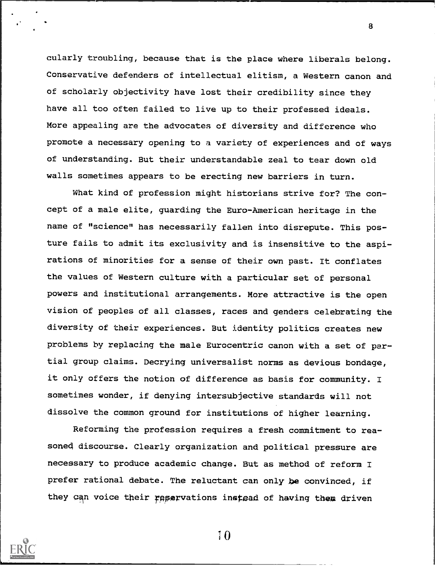cularly troubling, because that is the place where liberals belong. Conservative defenders of intellectual elitism, a Western canon and of scholarly objectivity have lost their credibility since they have all too often failed to live up to their professed ideals. More appealing are the advocates of diversity and difference who promote a necessary opening to a variety of experiences and of ways of understanding. But their understandable zeal to tear down old walls sometimes appears to be erecting new barriers in turn.

What kind of profession might historians strive for? The concept of a male elite, guarding the Euro-American heritage in the name of "science" has necessarily fallen into disrepute. This posture fails to admit its exclusivity and is insensitive to the aspirations of minorities for a sense of their own past. It conflates the values of Western culture with a particular set of personal powers and institutional arrangements. More attractive is the open vision of peoples of all classes, races and genders celebrating the diversity of their experiences. But identity politics creates new problems by replacing the male Eurocentric canon with a set of partial group claims. Decrying universalist norms as devious bondage, it only offers the notion of difference as basis for community. I sometimes wonder, if denying intersubjective standards will not dissolve the common ground for institutions of higher learning.

Reforming the profession requires a fresh commitment to reasone4 discourse. Clearly organization and political pressure are necessary to produce academic change. But as method of reform I prefer rational debate. The reluctant can only be convinced, if they can voice their reservations instead of having them driven



7 0